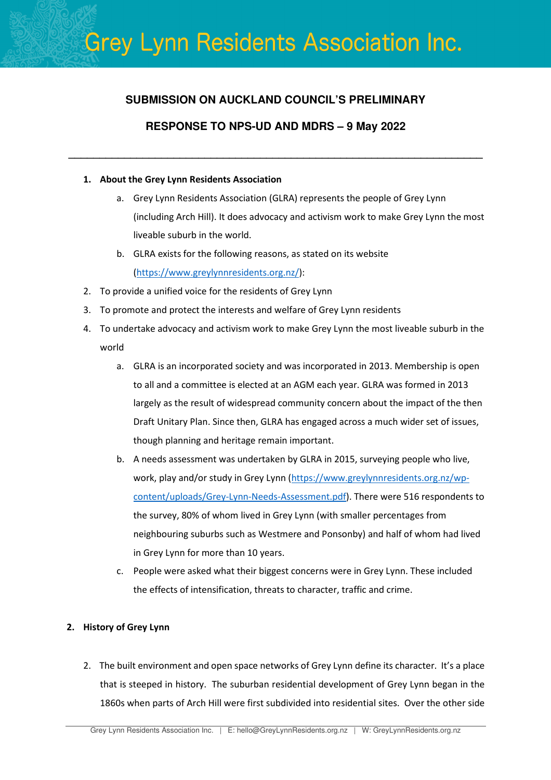### **SUBMISSION ON AUCKLAND COUNCIL'S PRELIMINARY**

### **RESPONSE TO NPS-UD AND MDRS – 9 May 2022**

**\_\_\_\_\_\_\_\_\_\_\_\_\_\_\_\_\_\_\_\_\_\_\_\_\_\_\_\_\_\_\_\_\_\_\_\_\_\_\_\_\_\_\_\_\_\_\_\_\_\_\_\_\_\_\_\_\_\_\_\_\_\_\_\_\_\_\_** 

### 1. About the Grey Lynn Residents Association

- a. Grey Lynn Residents Association (GLRA) represents the people of Grey Lynn (including Arch Hill). It does advocacy and activism work to make Grey Lynn the most liveable suburb in the world.
- b. GLRA exists for the following reasons, as stated on its website (https://www.greylynnresidents.org.nz/):
- 2. To provide a unified voice for the residents of Grey Lynn
- 3. To promote and protect the interests and welfare of Grey Lynn residents
- 4. To undertake advocacy and activism work to make Grey Lynn the most liveable suburb in the world
	- a. GLRA is an incorporated society and was incorporated in 2013. Membership is open to all and a committee is elected at an AGM each year. GLRA was formed in 2013 largely as the result of widespread community concern about the impact of the then Draft Unitary Plan. Since then, GLRA has engaged across a much wider set of issues, though planning and heritage remain important.
	- b. A needs assessment was undertaken by GLRA in 2015, surveying people who live, work, play and/or study in Grey Lynn (https://www.greylynnresidents.org.nz/wpcontent/uploads/Grey-Lynn-Needs-Assessment.pdf). There were 516 respondents to the survey, 80% of whom lived in Grey Lynn (with smaller percentages from neighbouring suburbs such as Westmere and Ponsonby) and half of whom had lived in Grey Lynn for more than 10 years.
	- c. People were asked what their biggest concerns were in Grey Lynn. These included the effects of intensification, threats to character, traffic and crime.

### 2. History of Grey Lynn

2. The built environment and open space networks of Grey Lynn define its character. It's a place that is steeped in history. The suburban residential development of Grey Lynn began in the 1860s when parts of Arch Hill were first subdivided into residential sites. Over the other side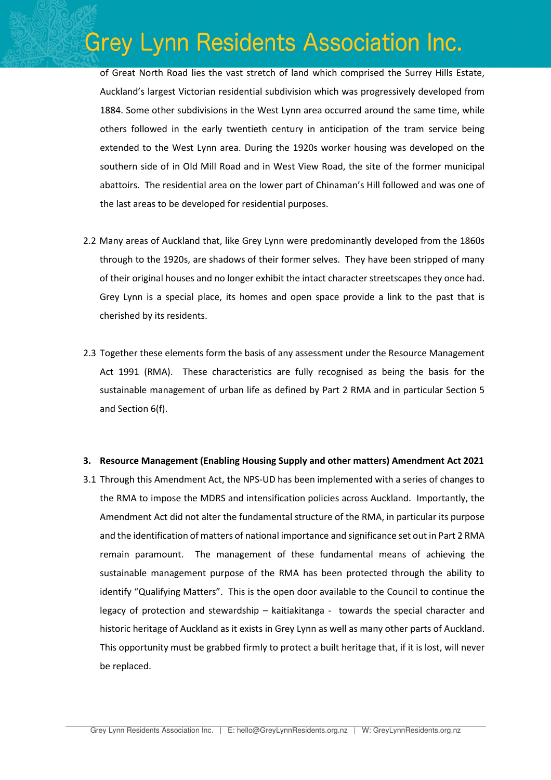of Great North Road lies the vast stretch of land which comprised the Surrey Hills Estate, Auckland's largest Victorian residential subdivision which was progressively developed from 1884. Some other subdivisions in the West Lynn area occurred around the same time, while others followed in the early twentieth century in anticipation of the tram service being extended to the West Lynn area. During the 1920s worker housing was developed on the southern side of in Old Mill Road and in West View Road, the site of the former municipal abattoirs. The residential area on the lower part of Chinaman's Hill followed and was one of the last areas to be developed for residential purposes.

- 2.2 Many areas of Auckland that, like Grey Lynn were predominantly developed from the 1860s through to the 1920s, are shadows of their former selves. They have been stripped of many of their original houses and no longer exhibit the intact character streetscapes they once had. Grey Lynn is a special place, its homes and open space provide a link to the past that is cherished by its residents.
- 2.3 Together these elements form the basis of any assessment under the Resource Management Act 1991 (RMA). These characteristics are fully recognised as being the basis for the sustainable management of urban life as defined by Part 2 RMA and in particular Section 5 and Section 6(f).

#### 3. Resource Management (Enabling Housing Supply and other matters) Amendment Act 2021

3.1 Through this Amendment Act, the NPS-UD has been implemented with a series of changes to the RMA to impose the MDRS and intensification policies across Auckland. Importantly, the Amendment Act did not alter the fundamental structure of the RMA, in particular its purpose and the identification of matters of national importance and significance set out in Part 2 RMA remain paramount. The management of these fundamental means of achieving the sustainable management purpose of the RMA has been protected through the ability to identify "Qualifying Matters". This is the open door available to the Council to continue the legacy of protection and stewardship – kaitiakitanga - towards the special character and historic heritage of Auckland as it exists in Grey Lynn as well as many other parts of Auckland. This opportunity must be grabbed firmly to protect a built heritage that, if it is lost, will never be replaced.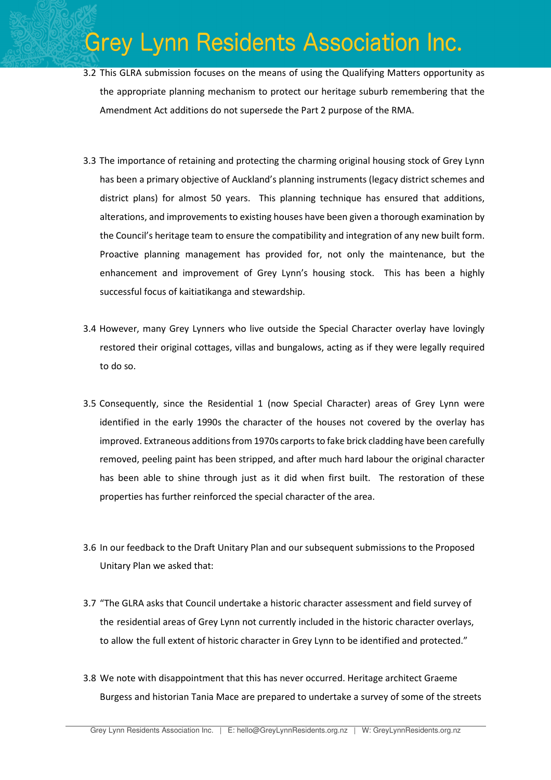- 3.2 This GLRA submission focuses on the means of using the Qualifying Matters opportunity as the appropriate planning mechanism to protect our heritage suburb remembering that the Amendment Act additions do not supersede the Part 2 purpose of the RMA.
- 3.3 The importance of retaining and protecting the charming original housing stock of Grey Lynn has been a primary objective of Auckland's planning instruments (legacy district schemes and district plans) for almost 50 years. This planning technique has ensured that additions, alterations, and improvements to existing houses have been given a thorough examination by the Council's heritage team to ensure the compatibility and integration of any new built form. Proactive planning management has provided for, not only the maintenance, but the enhancement and improvement of Grey Lynn's housing stock. This has been a highly successful focus of kaitiatikanga and stewardship.
- 3.4 However, many Grey Lynners who live outside the Special Character overlay have lovingly restored their original cottages, villas and bungalows, acting as if they were legally required to do so.
- 3.5 Consequently, since the Residential 1 (now Special Character) areas of Grey Lynn were identified in the early 1990s the character of the houses not covered by the overlay has improved. Extraneous additions from 1970s carports to fake brick cladding have been carefully removed, peeling paint has been stripped, and after much hard labour the original character has been able to shine through just as it did when first built. The restoration of these properties has further reinforced the special character of the area.
- 3.6 In our feedback to the Draft Unitary Plan and our subsequent submissions to the Proposed Unitary Plan we asked that:
- 3.7 "The GLRA asks that Council undertake a historic character assessment and field survey of the residential areas of Grey Lynn not currently included in the historic character overlays, to allow the full extent of historic character in Grey Lynn to be identified and protected."
- 3.8 We note with disappointment that this has never occurred. Heritage architect Graeme Burgess and historian Tania Mace are prepared to undertake a survey of some of the streets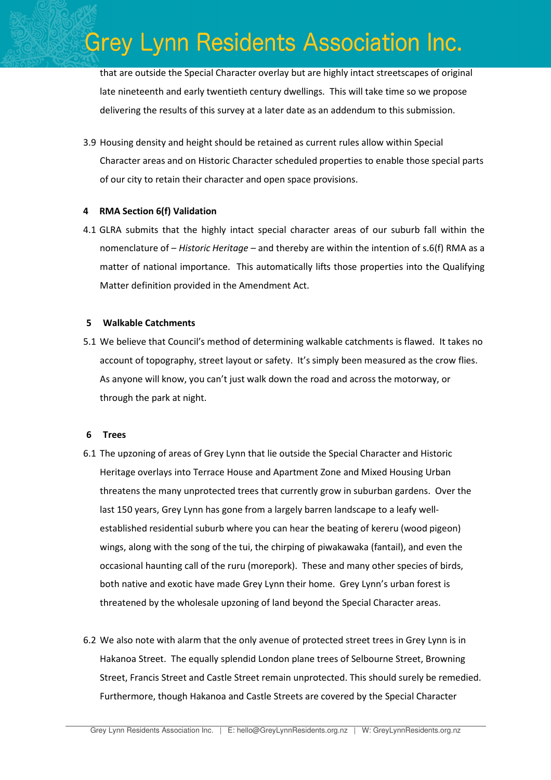that are outside the Special Character overlay but are highly intact streetscapes of original late nineteenth and early twentieth century dwellings. This will take time so we propose delivering the results of this survey at a later date as an addendum to this submission.

3.9 Housing density and height should be retained as current rules allow within Special Character areas and on Historic Character scheduled properties to enable those special parts of our city to retain their character and open space provisions.

#### 4 RMA Section 6(f) Validation

4.1 GLRA submits that the highly intact special character areas of our suburb fall within the nomenclature of – Historic Heritage – and thereby are within the intention of s.6(f) RMA as a matter of national importance. This automatically lifts those properties into the Qualifying Matter definition provided in the Amendment Act.

#### 5 Walkable Catchments

5.1 We believe that Council's method of determining walkable catchments is flawed. It takes no account of topography, street layout or safety. It's simply been measured as the crow flies. As anyone will know, you can't just walk down the road and across the motorway, or through the park at night.

#### 6 Trees

- 6.1 The upzoning of areas of Grey Lynn that lie outside the Special Character and Historic Heritage overlays into Terrace House and Apartment Zone and Mixed Housing Urban threatens the many unprotected trees that currently grow in suburban gardens. Over the last 150 years, Grey Lynn has gone from a largely barren landscape to a leafy wellestablished residential suburb where you can hear the beating of kereru (wood pigeon) wings, along with the song of the tui, the chirping of piwakawaka (fantail), and even the occasional haunting call of the ruru (morepork). These and many other species of birds, both native and exotic have made Grey Lynn their home. Grey Lynn's urban forest is threatened by the wholesale upzoning of land beyond the Special Character areas.
- 6.2 We also note with alarm that the only avenue of protected street trees in Grey Lynn is in Hakanoa Street. The equally splendid London plane trees of Selbourne Street, Browning Street, Francis Street and Castle Street remain unprotected. This should surely be remedied. Furthermore, though Hakanoa and Castle Streets are covered by the Special Character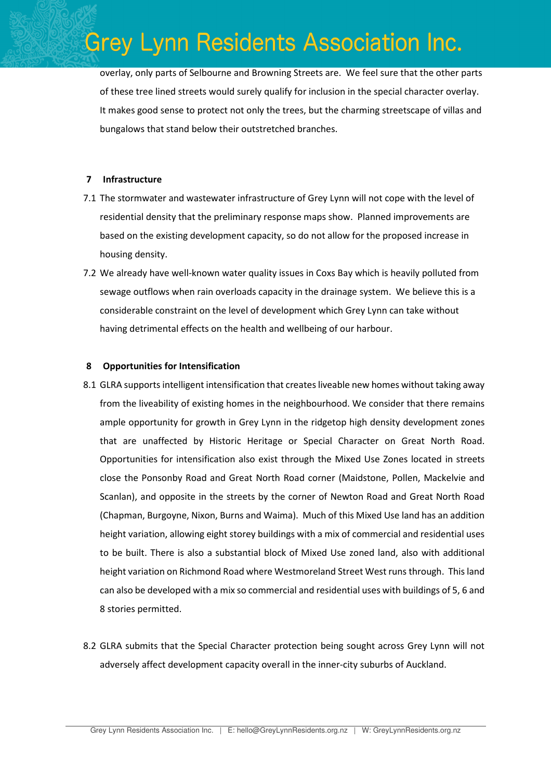overlay, only parts of Selbourne and Browning Streets are. We feel sure that the other parts of these tree lined streets would surely qualify for inclusion in the special character overlay. It makes good sense to protect not only the trees, but the charming streetscape of villas and bungalows that stand below their outstretched branches.

#### 7 Infrastructure

- 7.1 The stormwater and wastewater infrastructure of Grey Lynn will not cope with the level of residential density that the preliminary response maps show. Planned improvements are based on the existing development capacity, so do not allow for the proposed increase in housing density.
- 7.2 We already have well-known water quality issues in Coxs Bay which is heavily polluted from sewage outflows when rain overloads capacity in the drainage system. We believe this is a considerable constraint on the level of development which Grey Lynn can take without having detrimental effects on the health and wellbeing of our harbour.

#### 8 Opportunities for Intensification

- 8.1 GLRA supports intelligent intensification that creates liveable new homes without taking away from the liveability of existing homes in the neighbourhood. We consider that there remains ample opportunity for growth in Grey Lynn in the ridgetop high density development zones that are unaffected by Historic Heritage or Special Character on Great North Road. Opportunities for intensification also exist through the Mixed Use Zones located in streets close the Ponsonby Road and Great North Road corner (Maidstone, Pollen, Mackelvie and Scanlan), and opposite in the streets by the corner of Newton Road and Great North Road (Chapman, Burgoyne, Nixon, Burns and Waima). Much of this Mixed Use land has an addition height variation, allowing eight storey buildings with a mix of commercial and residential uses to be built. There is also a substantial block of Mixed Use zoned land, also with additional height variation on Richmond Road where Westmoreland Street West runs through. This land can also be developed with a mix so commercial and residential uses with buildings of 5, 6 and 8 stories permitted.
- 8.2 GLRA submits that the Special Character protection being sought across Grey Lynn will not adversely affect development capacity overall in the inner-city suburbs of Auckland.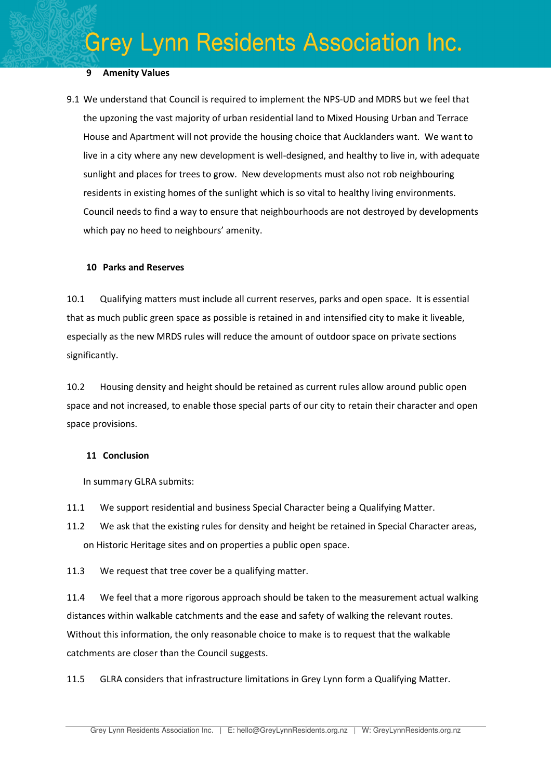### 9 Amenity Values

9.1 We understand that Council is required to implement the NPS-UD and MDRS but we feel that the upzoning the vast majority of urban residential land to Mixed Housing Urban and Terrace House and Apartment will not provide the housing choice that Aucklanders want. We want to live in a city where any new development is well-designed, and healthy to live in, with adequate sunlight and places for trees to grow. New developments must also not rob neighbouring residents in existing homes of the sunlight which is so vital to healthy living environments. Council needs to find a way to ensure that neighbourhoods are not destroyed by developments which pay no heed to neighbours' amenity.

#### 10 Parks and Reserves

10.1 Qualifying matters must include all current reserves, parks and open space. It is essential that as much public green space as possible is retained in and intensified city to make it liveable, especially as the new MRDS rules will reduce the amount of outdoor space on private sections significantly.

10.2 Housing density and height should be retained as current rules allow around public open space and not increased, to enable those special parts of our city to retain their character and open space provisions.

#### 11 Conclusion

In summary GLRA submits:

- 11.1 We support residential and business Special Character being a Qualifying Matter.
- 11.2 We ask that the existing rules for density and height be retained in Special Character areas, on Historic Heritage sites and on properties a public open space.

11.3 We request that tree cover be a qualifying matter.

11.4 We feel that a more rigorous approach should be taken to the measurement actual walking distances within walkable catchments and the ease and safety of walking the relevant routes. Without this information, the only reasonable choice to make is to request that the walkable catchments are closer than the Council suggests.

11.5 GLRA considers that infrastructure limitations in Grey Lynn form a Qualifying Matter.